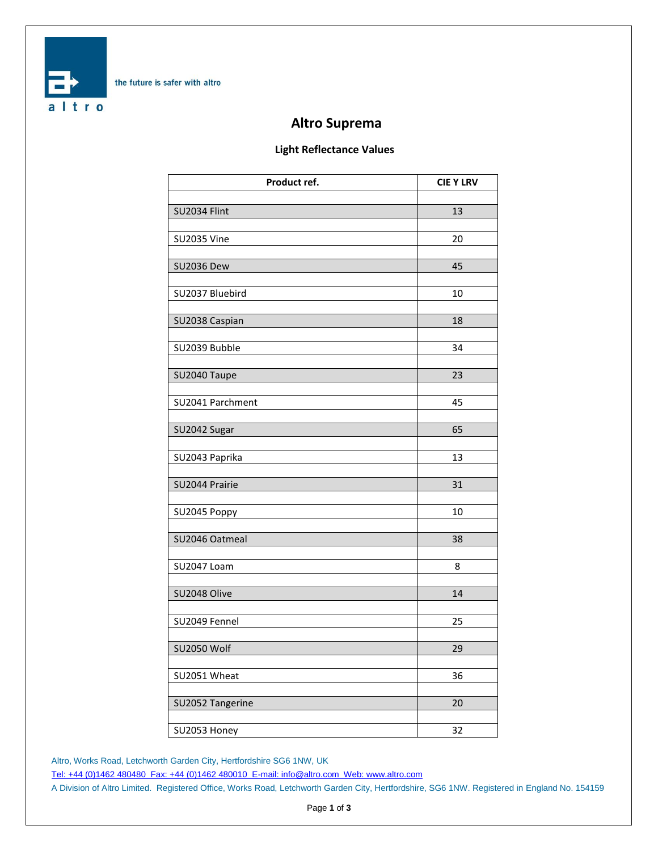

# **Altro Suprema**

### **Light Reflectance Values**

| Product ref.       | <b>CIE Y LRV</b> |
|--------------------|------------------|
|                    |                  |
| SU2034 Flint       | 13               |
| <b>SU2035 Vine</b> | 20               |
|                    |                  |
| <b>SU2036 Dew</b>  | 45               |
|                    |                  |
| SU2037 Bluebird    | 10               |
| SU2038 Caspian     | 18               |
|                    |                  |
| SU2039 Bubble      | 34               |
|                    |                  |
| SU2040 Taupe       | 23               |
|                    |                  |
| SU2041 Parchment   | 45               |
| SU2042 Sugar       | 65               |
|                    |                  |
| SU2043 Paprika     | 13               |
|                    |                  |
| SU2044 Prairie     | 31               |
|                    | 10               |
| SU2045 Poppy       |                  |
| SU2046 Oatmeal     | 38               |
|                    |                  |
| SU2047 Loam        | 8                |
|                    |                  |
| SU2048 Olive       | 14               |
| SU2049 Fennel      | 25               |
|                    |                  |
| <b>SU2050 Wolf</b> | 29               |
|                    |                  |
| SU2051 Wheat       | 36               |
| SU2052 Tangerine   | 20               |
|                    |                  |
| SU2053 Honey       | 32               |

Altro, Works Road, Letchworth Garden City, Hertfordshire SG6 1NW, UK

[Tel: +44 \(0\)1462 480480 Fax: +44 \(0\)1462 480010 E-mail: info@altro.com Web: www.altro.com](mailto:info@altro.com)

A Division of Altro Limited. Registered Office, Works Road, Letchworth Garden City, Hertfordshire, SG6 1NW. Registered in England No. 154159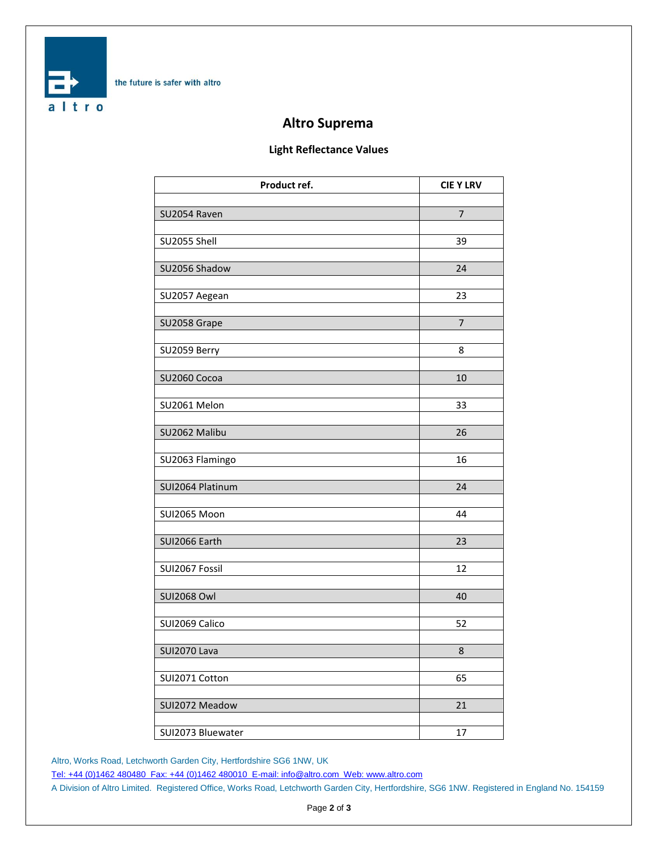

# **Altro Suprema**

### **Light Reflectance Values**

| Product ref.       | <b>CIE Y LRV</b> |
|--------------------|------------------|
|                    |                  |
| SU2054 Raven       | $\overline{7}$   |
| SU2055 Shell       | 39               |
|                    |                  |
| SU2056 Shadow      | 24               |
|                    |                  |
| SU2057 Aegean      | 23               |
| SU2058 Grape       | $\overline{7}$   |
|                    |                  |
| SU2059 Berry       | 8                |
|                    |                  |
| SU2060 Cocoa       | 10               |
| SU2061 Melon       | 33               |
|                    |                  |
| SU2062 Malibu      | 26               |
|                    |                  |
| SU2063 Flamingo    | 16               |
| SUI2064 Platinum   | 24               |
|                    |                  |
| SUI2065 Moon       | 44               |
|                    |                  |
| SUI2066 Earth      | 23               |
| SUI2067 Fossil     | 12               |
|                    |                  |
| <b>SUI2068 Owl</b> | 40               |
|                    |                  |
| SUI2069 Calico     | 52               |
| SUI2070 Lava       | 8                |
|                    |                  |
| SUI2071 Cotton     | 65               |
|                    |                  |
| SUI2072 Meadow     | 21               |
| SUI2073 Bluewater  | 17               |
|                    |                  |

Altro, Works Road, Letchworth Garden City, Hertfordshire SG6 1NW, UK

[Tel: +44 \(0\)1462 480480 Fax: +44 \(0\)1462 480010 E-mail: info@altro.com Web: www.altro.com](mailto:info@altro.com)

A Division of Altro Limited. Registered Office, Works Road, Letchworth Garden City, Hertfordshire, SG6 1NW. Registered in England No. 154159